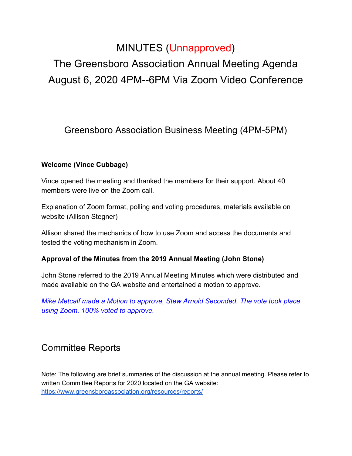## MINUTES (Unnapproved)

# The Greensboro Association Annual Meeting Agenda August 6, 2020 4PM--6PM Via Zoom Video Conference

Greensboro Association Business Meeting (4PM-5PM)

#### **Welcome (Vince Cubbage)**

Vince opened the meeting and thanked the members for their support. About 40 members were live on the Zoom call.

Explanation of Zoom format, polling and voting procedures, materials available on website (Allison Stegner)

Allison shared the mechanics of how to use Zoom and access the documents and tested the voting mechanism in Zoom.

#### **Approval of the Minutes from the 2019 Annual Meeting (John Stone)**

John Stone referred to the 2019 Annual Meeting Minutes which were distributed and made available on the GA website and entertained a motion to approve.

*Mike Metcalf made a Motion to approve, Stew Arnold Seconded. The vote took place using Zoom. 100% voted to approve.*

### Committee Reports

Note: The following are brief summaries of the discussion at the annual meeting. Please refer to written Committee Reports for 2020 located on the GA website: <https://www.greensboroassociation.org/resources/reports/>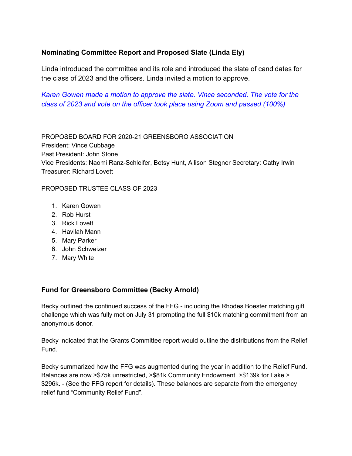#### **Nominating Committee Report and Proposed Slate (Linda Ely)**

Linda introduced the committee and its role and introduced the slate of candidates for the class of 2023 and the officers. Linda invited a motion to approve.

*Karen Gowen made a motion to approve the slate. Vince seconded. The vote for the class of 2023 and vote on the officer took place using Zoom and passed (100%)*

PROPOSED BOARD FOR 2020-21 GREENSBORO ASSOCIATION President: Vince Cubbage Past President: John Stone Vice Presidents: Naomi Ranz-Schleifer, Betsy Hunt, Allison Stegner Secretary: Cathy Irwin Treasurer: Richard Lovett

PROPOSED TRUSTEE CLASS OF 2023

- 1. Karen Gowen
- 2. Rob Hurst
- 3. Rick Lovett
- 4. Havilah Mann
- 5. Mary Parker
- 6. John Schweizer
- 7. Mary White

#### **Fund for Greensboro Committee (Becky Arnold)**

Becky outlined the continued success of the FFG - including the Rhodes Boester matching gift challenge which was fully met on July 31 prompting the full \$10k matching commitment from an anonymous donor.

Becky indicated that the Grants Committee report would outline the distributions from the Relief Fund.

Becky summarized how the FFG was augmented during the year in addition to the Relief Fund. Balances are now >\$75k unrestricted, >\$81k Community Endowment. >\$139k for Lake > \$296k. - (See the FFG report for details). These balances are separate from the emergency relief fund "Community Relief Fund".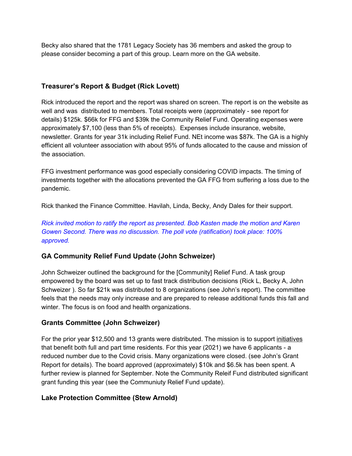Becky also shared that the 1781 Legacy Society has 36 members and asked the group to please consider becoming a part of this group. Learn more on the GA website.

#### **Treasurer's Report & Budget (Rick Lovett)**

Rick introduced the report and the report was shared on screen. The report is on the website as well and was distributed to members. Total receipts were (approximately - see report for details) \$125k. \$66k for FFG and \$39k the Community Relief Fund. Operating expenses were approximately \$7,100 (less than 5% of receipts). Expenses include insurance, website, newsletter. Grants for year 31k including Relief Fund. NEt income was \$87k. The GA is a highly efficient all volunteer association with about 95% of funds allocated to the cause and mission of the association.

FFG investment performance was good especially considering COVID impacts. The timing of investments together with the allocations prevented the GA FFG from suffering a loss due to the pandemic.

Rick thanked the Finance Committee. Havilah, Linda, Becky, Andy Dales for their support.

*Rick invited motion to ratify the report as presented. Bob Kasten made the motion and Karen Gowen Second. There was no discussion. The poll vote (ratification) took place: 100% approved.*

#### **GA Community Relief Fund Update (John Schweizer)**

John Schweizer outlined the background for the [Community] Relief Fund. A task group empowered by the board was set up to fast track distribution decisions (Rick L, Becky A, John Schweizer ). So far \$21k was distributed to 8 organizations (see John's report). The committee feels that the needs may only increase and are prepared to release additional funds this fall and winter. The focus is on food and health organizations.

#### **Grants Committee (John Schweizer)**

For the prior year \$12,500 and 13 grants were distributed. The mission is to support initiatives that benefit both full and part time residents. For this year (2021) we have 6 applicants - a reduced number due to the Covid crisis. Many organizations were closed. (see John's Grant Report for details). The board approved (approximately) \$10k and \$6.5k has been spent. A further review is planned for September. Note the Community Releif Fund distributed significant grant funding this year (see the Communiuty Relief Fund update).

#### **Lake Protection Committee (Stew Arnold)**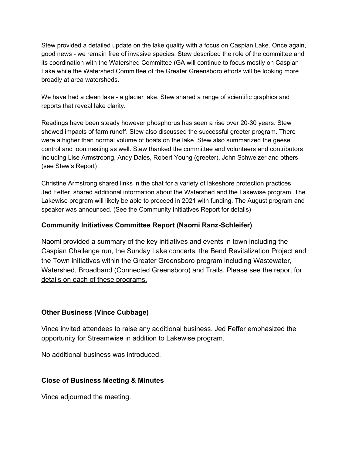Stew provided a detailed update on the lake quality with a focus on Caspian Lake. Once again, good news - we remain free of invasive species. Stew described the role of the committee and its coordination with the Watershed Committee (GA will continue to focus mostly on Caspian Lake while the Watershed Committee of the Greater Greensboro efforts will be looking more broadly at area watersheds.

We have had a clean lake - a glacier lake. Stew shared a range of scientific graphics and reports that reveal lake clarity.

Readings have been steady however phosphorus has seen a rise over 20-30 years. Stew showed impacts of farm runoff. Stew also discussed the successful greeter program. There were a higher than normal volume of boats on the lake. Stew also summarized the geese control and loon nesting as well. Stew thanked the committee and volunteers and contributors including Lise Armstroong, Andy Dales, Robert Young (greeter), John Schweizer and others (see Stew's Report)

Christine Armstrong shared links in the chat for a variety of lakeshore protection practices Jed Feffer shared additional information about the Watershed and the Lakewise program. The Lakewise program will likely be able to proceed in 2021 with funding. The August program and speaker was announced. (See the Community Initiatives Report for details)

#### **Community Initiatives Committee Report (Naomi Ranz-Schleifer)**

Naomi provided a summary of the key initiatives and events in town including the Caspian Challenge run, the Sunday Lake concerts, the Bend Revitalization Project and the Town initiatives within the Greater Greensboro program including Wastewater, Watershed, Broadband (Connected Greensboro) and Trails. Please see the report for details on each of these programs.

#### **Other Business (Vince Cubbage)**

Vince invited attendees to raise any additional business. Jed Feffer emphasized the opportunity for Streamwise in addition to Lakewise program.

No additional business was introduced.

#### **Close of Business Meeting & Minutes**

Vince adjourned the meeting.